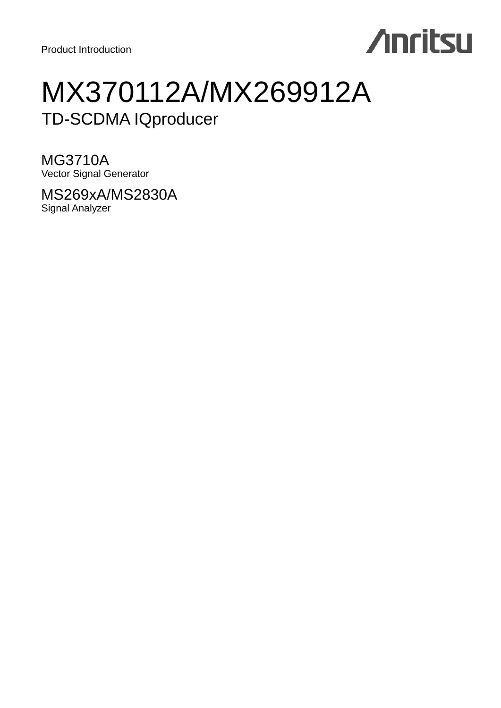# **Anritsu**

## MX370112A/MX269912A TD-SCDMA IQproducer

MG3710A Vector Signal Generator

MS269xA/MS2830A Signal Analyzer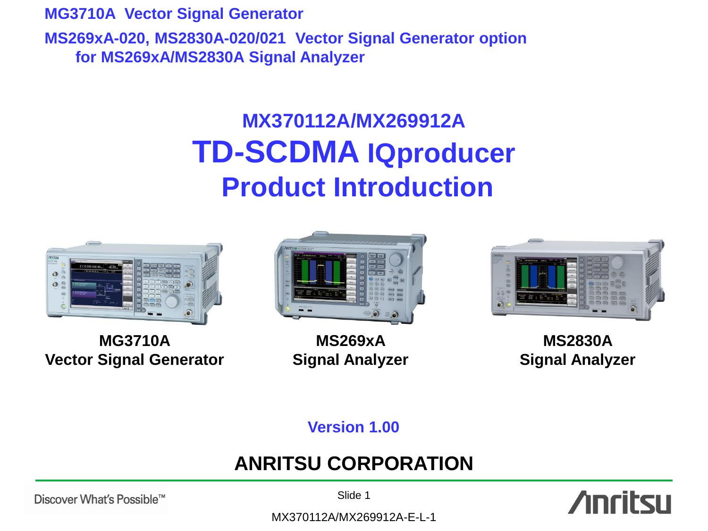**MG3710A Vector Signal Generator MS269xA-020, MS2830A-020/021 Vector Signal Generator option for MS269xA/MS2830A Signal Analyzer**

## **MX370112A/MX269912A TD-SCDMA IQproducer Product Introduction**



**MG3710A Vector Signal Generator**



**MS269xA Signal Analyzer**



**MS2830A Signal Analyzer**

**Version 1.00**

## **ANRITSU CORPORATION**

Discover What's Possible™

Slide 1

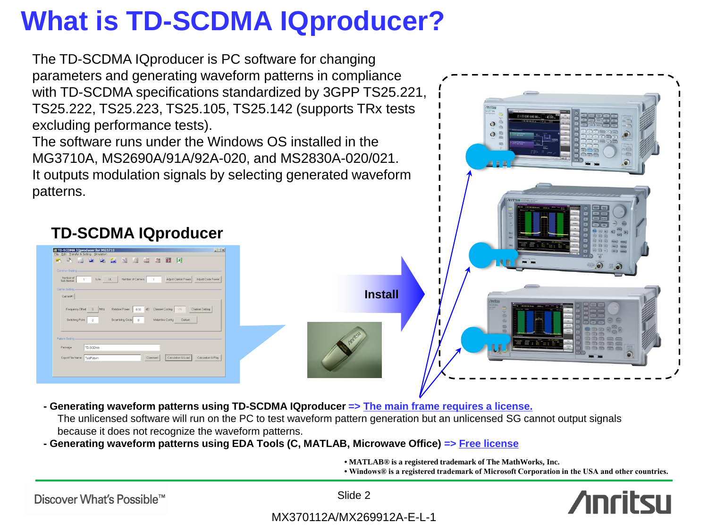## **What is TD-SCDMA IQproducer?**

The TD-SCDMA IQproducer is PC software for changing parameters and generating waveform patterns in compliance with TD-SCDMA specifications standardized by 3GPP TS25.221, TS25.222, TS25.223, TS25.105, TS25.142 (supports TRx tests excluding performance tests).

The software runs under the Windows OS installed in the MG3710A, MS2690A/91A/92A-020, and MS2830A-020/021. It outputs modulation signals by selecting generated waveform patterns.



### **TD-SCDMA IQproducer**

1 Link UL Number of Camers 1 Adjust Camer Power Adjust Code Power

Relative Power 0.00 dB Channel Coding 01 Channel Setting

Calculation & Load Calculation & Play

### **- Generating waveform patterns using TD-SCDMA IQproducer => The main frame requires a license.**

The unlicensed software will run on the PC to test waveform pattern generation but an unlicensed SG cannot output signals because it does not recognize the waveform patterns.

### **- Generating waveform patterns using EDA Tools (C, MATLAB, Microwave Office) => Free license**

**• MATLAB® is a registered trademark of The MathWorks, Inc.**

**• Windows® is a registered trademark of Microsoft Corporation in the USA and other countries.**

Discover What's Possible™

Export File Name TestPatter

Slide 2

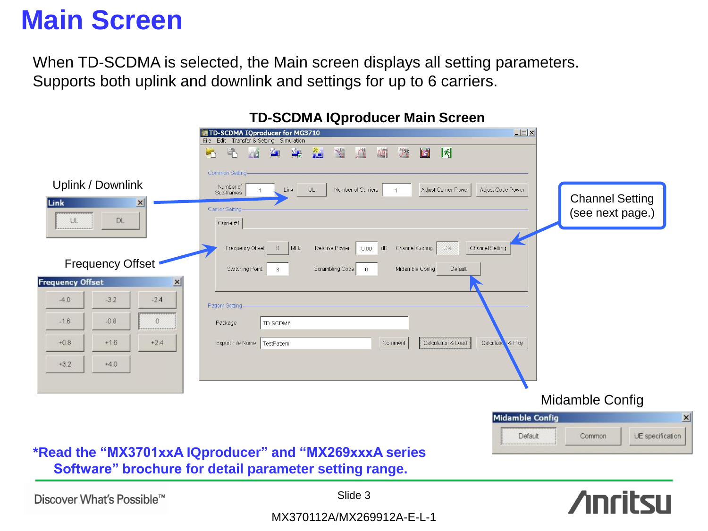## **Main Screen**

When TD-SCDMA is selected, the Main screen displays all setting parameters. Supports both uplink and downlink and settings for up to 6 carriers.

|                                            | <b>ID OUDING IQPIOGROUP INCHIT OUTCUT</b>                                                                                                               |
|--------------------------------------------|---------------------------------------------------------------------------------------------------------------------------------------------------------|
|                                            | $\Box x$<br>TD-SCDMA IQproducer for MG3710                                                                                                              |
|                                            | Eile Edit Transfer & Setting Simulation                                                                                                                 |
|                                            | $B_{\mathcal{D}}$<br>八<br>固<br>因<br>$M_{\odot}$<br><b>Ma</b><br>LOT<br>$\sqrt{\frac{1}{2}}$<br>$\sqrt{\sum_{n=1}^{1}}$<br><b>ALC</b><br>$\sqrt{2}$<br>W |
|                                            | Common Setting                                                                                                                                          |
| Uplink / Downlink<br>Link                  | Number of<br>Adjust Carrier Power<br>Adjust Code Power<br>Link<br>Number of Carriers<br>UL<br>Sub-frames<br><b>Channel Setting</b>                      |
| $\times$<br>.                              | Carrier Setting-<br>(see next page.)                                                                                                                    |
| DL<br>UL.<br>                              | Carrier#1                                                                                                                                               |
|                                            | Channel Coding<br>MHZ<br>Relative Power<br>dB<br>ON<br>Channel Setting<br>Frequency Offset<br>0.00<br>$\sqrt{0}$                                        |
| <b>Frequency Offset</b>                    | Switching Point<br>$\mathbf{3}$<br>Scrambling Code<br>Midamble Config<br>Default<br>$\circ$                                                             |
| <b>Frequency Offset</b><br>$\vert x \vert$ |                                                                                                                                                         |
| $-3.2$<br>$-4.0$<br>$-24$                  | Pattern Setting-                                                                                                                                        |
| $-1.6$<br>$-0.8$<br>Ω<br>                  | TD-SCDMA<br>Package                                                                                                                                     |
| $+16$<br>$+0.8$<br>$+2.4$                  | Calculation & Load<br>Calculation & Play<br>Export File Name   TestPattern<br>Comment                                                                   |
| $+4.0$<br>$*3.2$                           |                                                                                                                                                         |
|                                            |                                                                                                                                                         |
|                                            | Midamble Config                                                                                                                                         |
|                                            | <b>Midamble Config</b>                                                                                                                                  |
|                                            | UE specificatio<br>Default<br>Common                                                                                                                    |

### **TD-SCDMA IQproducer Main Screen**

**\*Read the "MX3701xxA IQproducer" and "MX269xxxA series Software" brochure for detail parameter setting range.**

Discover What's Possible™

Slide 3

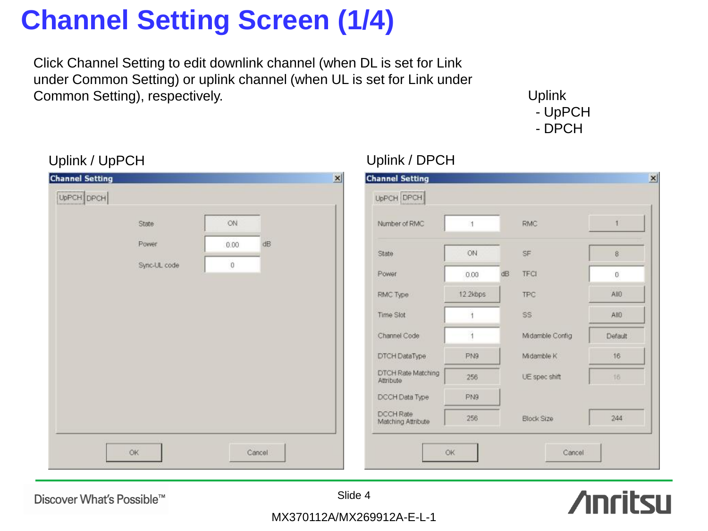# **Channel Setting Screen (1/4)**

Click Channel Setting to edit downlink channel (when DL is set for Link under Common Setting) or uplink channel (when UL is set for Link under Common Setting), respectively. Uplink

 - UpPCH - DPCH

| UpPCH DPCH<br>Number of RMC            |          |                 |               |
|----------------------------------------|----------|-----------------|---------------|
|                                        |          |                 |               |
|                                        |          | RMC.            | $\ddagger$    |
|                                        |          |                 | $8^{\circ}$   |
| Power                                  | dB       | <b>TFCI</b>     | $\mathbf{0}$  |
| RMC Type                               | 12.2kbps | TPC             | AllO          |
| Time Slot                              |          | SS.             | AHO           |
| Channel Code                           |          | Midamble Config | Default       |
| DTCH DataType                          | PN9      | Midamble K      | 16            |
| DTCH Rate Matching<br>Attribute        | 256      | UE spec shift   | $16$          |
| DCCH Data Type                         | PN9      |                 |               |
| <b>DCCH Rate</b><br>Matching Attribute | 256      | Block Size      | 244           |
|                                        | State    | ON<br>0.00      | $\mathsf{SF}$ |

### Uplink / UpPCH Uplink / DPCH

Discover What's Possible™

Slide 4

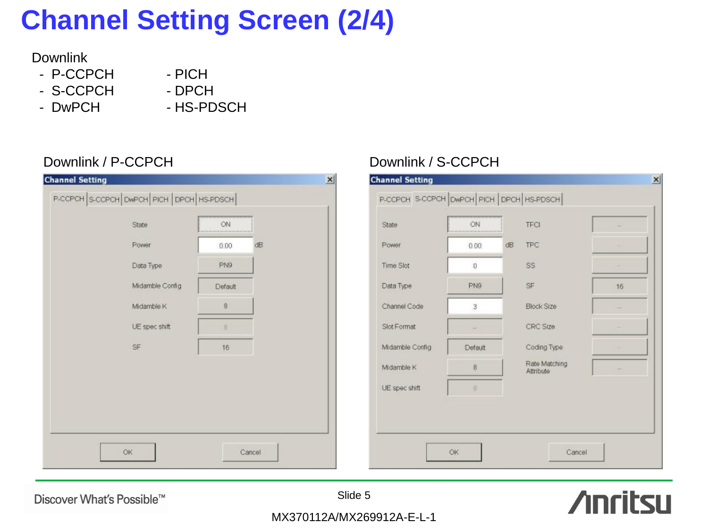# **Channel Setting Screen (2/4)**

### **Downlink**

- P-CCPCH
- PICH - DPCH
- S-CCPCH - DwPCH
	- HS-PDSCH

| <b>Channel Setting</b>                   |            | $\vert x \vert$ | <b>Channel Setting</b> |
|------------------------------------------|------------|-----------------|------------------------|
| P-CCPCH S-CCPCH DWPCH PICH DPCH HS-PDSCH |            |                 | P-CCPCH S-CC           |
| State                                    | ON         |                 | State                  |
| Power.                                   | dB<br>0.00 |                 | Power                  |
| Data Type                                | PN9        |                 | Time Slot              |
| Midamble Config                          | Default    |                 | Data Type              |
| Midamble K                               | $\,$ 8     |                 | Channel Code           |
| UE spec shift                            | $\sqrt{8}$ |                 | Slot Format            |
| SF                                       | 16         |                 | Midamble Config        |
|                                          |            |                 | Midamble K             |
|                                          |            |                 | UE spec shift          |
|                                          |            |                 |                        |
|                                          |            |                 |                        |
| OK                                       | Cancel     |                 |                        |
|                                          |            |                 |                        |

### Downlink / P-CCPCH Downlink / S-CCPCH

| <b>State</b>     | ON            |    | <b>TECI</b>                | ٠  |
|------------------|---------------|----|----------------------------|----|
| Power            | 0.00.         | dB | <b>TPC</b>                 |    |
| <b>Time Slot</b> | $\mathbf{0}$  |    | SS                         |    |
| Data Type        | PN9           |    | SF                         | 16 |
| Channel Code     | 3             |    | Block Size                 |    |
| Slot Format      |               |    | CRC Size                   |    |
| Midamble Config  | Default       |    | Coding Type                |    |
| Midamble K       | 8             |    | Rate Matching<br>Attribute |    |
| UE spec shift    | $\frac{8}{3}$ |    |                            |    |
|                  |               |    |                            |    |

Discover What's Possible™

Slide 5

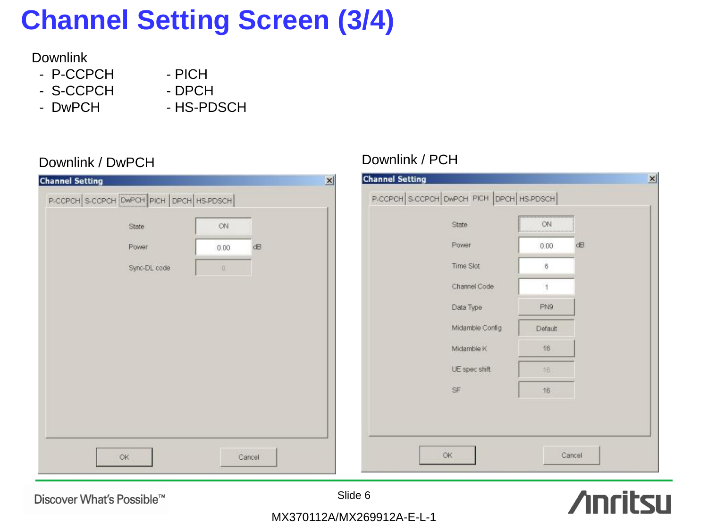# **Channel Setting Screen (3/4)**

### Downlink

- P-CCPCH
- S-CCPCH
- DwPCH

- DPCH - HS-PDSCH

- PICH

| P-CCPCH S-CCPCH DWPCH PICH DPCH HS-PDSCH |      |    | P-CCPCH S-CCPCH OWPCH PICH DPCH HS-PDSCH |                    |
|------------------------------------------|------|----|------------------------------------------|--------------------|
| State                                    | ON.  |    | State                                    | ON:                |
| Power                                    | 0.00 | dB | Power                                    | 0.00               |
| Sync-DL code                             | 0    |    | Time Slot                                | $\overline{\bf 6}$ |
|                                          |      |    | Channel Code                             |                    |
|                                          |      |    | Data Type                                | PN9                |
|                                          |      |    | Midamble Config                          | Default            |
|                                          |      |    | Midamble K                               | 16                 |
|                                          |      |    | UE spec shift                            | 16                 |
|                                          |      |    | SF                                       | 16.                |

Discover What's Possible™



 $\vert x \vert$ 

dB

Cancel

MX370112A/MX269912A-E-L-1

## Downlink / DwPCH Downlink / PCH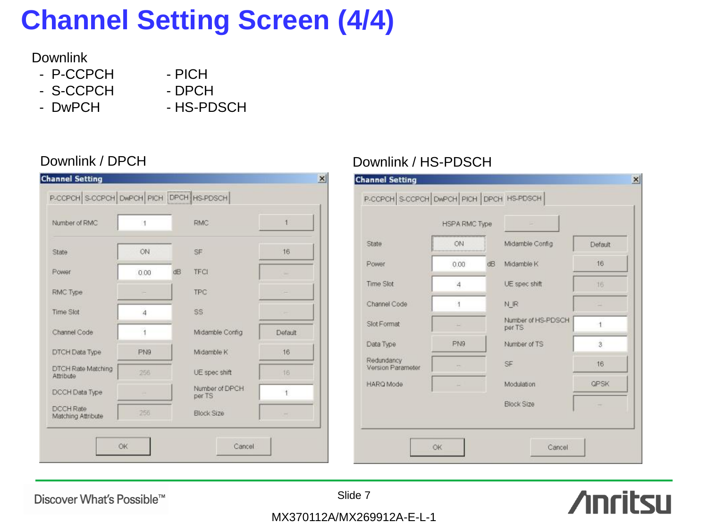# **Channel Setting Screen (4/4)**

### **Downlink**

- P-CCPCH
- S-CCPCH
- DwPCH
- DPCH - HS-PDSCH

- PICH

| Number of RMC                          | 4    |    | <b>RMC</b>               | 1       |
|----------------------------------------|------|----|--------------------------|---------|
| State                                  | ON   |    | SF                       | 16      |
| Power                                  | 0.00 | ďB | <b>TFCI</b>              |         |
| RMC Type                               |      |    | <b>TPC</b>               |         |
| Time Slot                              | 4    |    | SS:                      |         |
| Channel Code                           |      |    | Midamble Config          | Default |
| DTCH Data Type                         | PN9  |    | Midamble K               | 16      |
| DTCH Rate Matching<br>Attribute        | 256  |    | UE spec shift            | 16      |
| DCCH Data Type                         |      |    | Number of DPCH<br>per TS | ł       |
| <b>DCCH Rate</b><br>Matching Attribute | 256  |    | <b>Block Size</b>        |         |

### Downlink / DPCH Downlink / HS-PDSCH

|                                 | <b>HSPA RMC Type</b> |    |                              |                |
|---------------------------------|----------------------|----|------------------------------|----------------|
| State                           | ON                   |    | Midamble Config              | Default        |
| Power                           | 0.00                 | dB | Midamble K                   | 16             |
| Time Slot                       | $\overline{4}$       |    | UE spec shift                | 16             |
| Channel Code                    | 1                    |    | N <sub>R</sub>               |                |
| Slot Format                     |                      |    | Number of HS-PDSCH<br>per TS |                |
| Data Type                       | PN9                  |    | Number of TS                 | $\overline{3}$ |
| Redundancy<br>Version Parameter |                      |    | SF                           | 16             |
| <b>HARQ Mode</b>                |                      |    | Modulation                   | QPSK           |
|                                 |                      |    | <b>Block Size</b>            |                |

Discover What's Possible™

Slide 7

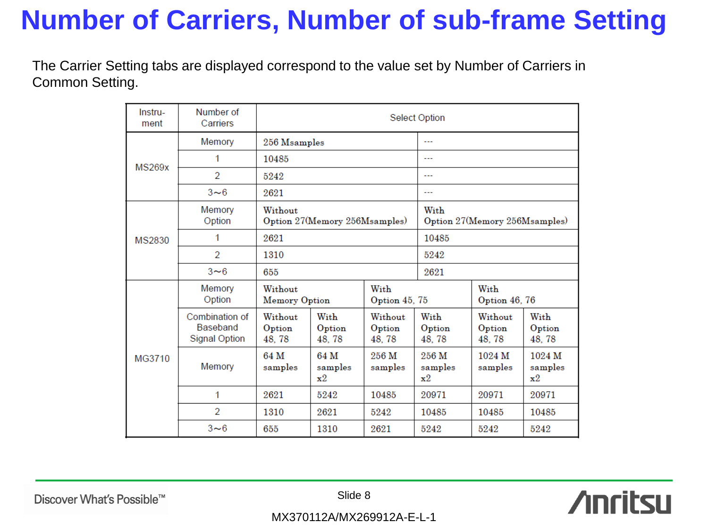## **Number of Carriers, Number of sub-frame Setting**

The Carrier Setting tabs are displayed correspond to the value set by Number of Carriers in Common Setting.

| Instru-<br>ment | Number of<br>Carriers                                     | Select Option                            |                                               |                             |                          |                               |                                     |  |
|-----------------|-----------------------------------------------------------|------------------------------------------|-----------------------------------------------|-----------------------------|--------------------------|-------------------------------|-------------------------------------|--|
|                 | Memory                                                    | 256 Msamples                             |                                               |                             | ---                      |                               |                                     |  |
| MS269x          | 1                                                         | 10485                                    |                                               |                             | $- - -$                  |                               |                                     |  |
|                 | $\overline{2}$                                            | 5242                                     |                                               |                             | $\overline{a}$           |                               |                                     |  |
|                 | $3\nightharpoonup6$                                       | 2621                                     |                                               |                             | ---                      |                               |                                     |  |
|                 | Memory<br>Option                                          | Without<br>Option 27(Memory 256Msamples) |                                               |                             | With                     | Option 27(Memory 256Msamples) |                                     |  |
| MS2830          | 1                                                         | 2621                                     |                                               |                             | 10485                    |                               |                                     |  |
|                 | $\mathcal{D}$                                             | 1310                                     |                                               |                             | 5242                     |                               |                                     |  |
|                 | $3\nightharpoonup6$                                       | 655                                      |                                               |                             | 2621                     |                               |                                     |  |
|                 | Memory<br>Option                                          | Without                                  | With<br><b>Memory Option</b><br>Option 45, 75 |                             |                          | With<br>Option 46, 76         |                                     |  |
|                 | Combination of<br><b>Baseband</b><br><b>Signal Option</b> | Without<br>Option<br>48, 78              | With<br>Option<br>48, 78                      | Without<br>Option<br>48, 78 | With<br>Option<br>48, 78 | Without<br>Option<br>48,78    | With<br>Option<br>48, 78            |  |
| MG3710          | Memory                                                    | 64 M<br>samples                          | 64 M<br>samples<br>$\mathbf{x}^2$             | 256 M<br>samples            | 256 M<br>samples<br>x2   | 1024 M<br>samples             | 1024 M<br>samples<br>$\mathbf{x}^2$ |  |
|                 | 1                                                         | 2621                                     | 5242                                          | 10485                       | 20971                    | 20971                         | 20971                               |  |
|                 | $\overline{2}$                                            | 1310                                     | 2621                                          | 5242                        | 10485                    | 10485                         | 10485                               |  |
|                 | $3\nightharpoonup6$                                       | 655                                      | 1310                                          | 2621                        | 5242                     | 5242                          | 5242                                |  |

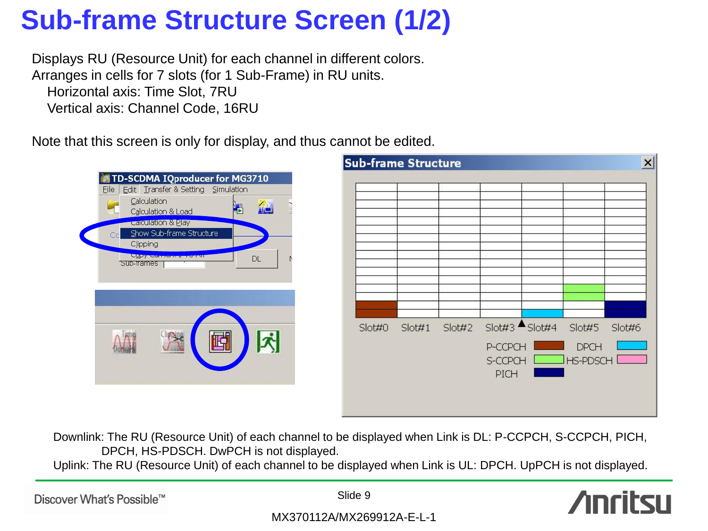## **Sub-frame Structure Screen (1/2)**

Displays RU (Resource Unit) for each channel in different colors. Arranges in cells for 7 slots (for 1 Sub-Frame) in RU units. Horizontal axis: Time Slot, 7RU Vertical axis: Channel Code, 16RU

Note that this screen is only for display, and thus cannot be edited.



Downlink: The RU (Resource Unit) of each channel to be displayed when Link is DL: P-CCPCH, S-CCPCH, PICH, DPCH, HS-PDSCH. DwPCH is not displayed.

Uplink: The RU (Resource Unit) of each channel to be displayed when Link is UL: DPCH. UpPCH is not displayed.

Discover What's Possible™

Slide 9

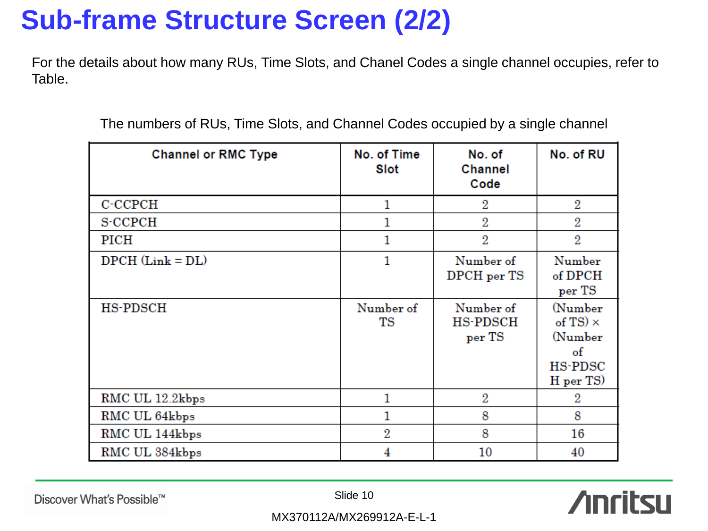## **Sub-frame Structure Screen (2/2)**

For the details about how many RUs, Time Slots, and Chanel Codes a single channel occupies, refer to Table.

| <b>Channel or RMC Type</b> | No. of Time<br>Slot | No. of<br>Channel<br>Code              | No. of RU                                                                         |
|----------------------------|---------------------|----------------------------------------|-----------------------------------------------------------------------------------|
| C-CCPCH                    | 1                   | 2                                      | $\overline{2}$                                                                    |
| <b>S-CCPCH</b>             |                     | 2                                      | 2                                                                                 |
| PICH                       | 1                   | $\overline{2}$                         | $\overline{2}$                                                                    |
| $DPCH$ (Link = $DL$ )      | 1                   | Number of<br>DPCH per TS               | Number<br>$of$ $DPCH$<br>per TS                                                   |
| <b>HS-PDSCH</b>            | Number of<br>TS     | Number of<br><b>HS-PDSCH</b><br>per TS | (Number<br>of TS) $\times$<br>(Number<br>$\circ$ f<br><b>HS-PDSC</b><br>H per TS) |
| RMC UL 12.2kbps            |                     | 2                                      | 2                                                                                 |
| RMC UL 64kbps              |                     | 8                                      | 8                                                                                 |
| RMC UL 144kbps             | $\overline{2}$      | 8                                      | 16                                                                                |
| RMC UL 384kbps             | 4                   | 10                                     | 40                                                                                |

The numbers of RUs, Time Slots, and Channel Codes occupied by a single channel

Discover What's Possible™

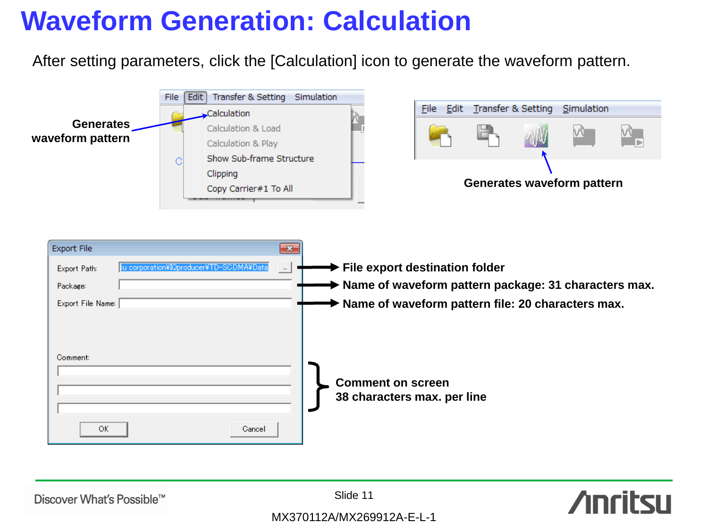## **Waveform Generation: Calculation**

After setting parameters, click the [Calculation] icon to generate the waveform pattern.







Discover What's Possible™

Slide 11

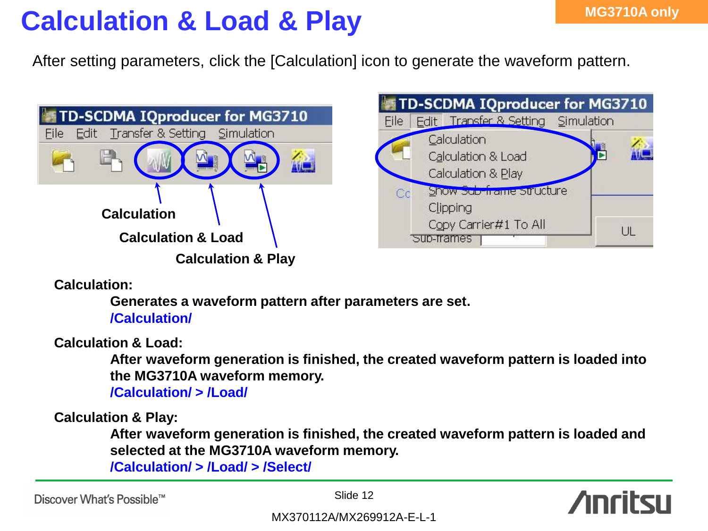## **Calculation & Load & Play**

After setting parameters, click the [Calculation] icon to generate the waveform pattern.





**Calculation:**

**Generates a waveform pattern after parameters are set. /Calculation/**

**Calculation & Load:**

**After waveform generation is finished, the created waveform pattern is loaded into the MG3710A waveform memory.**

**/Calculation/ > /Load/**

**Calculation & Play:**

**After waveform generation is finished, the created waveform pattern is loaded and selected at the MG3710A waveform memory.**

**/Calculation/ > /Load/ > /Select/**

Discover What's Possible™

Slide 12

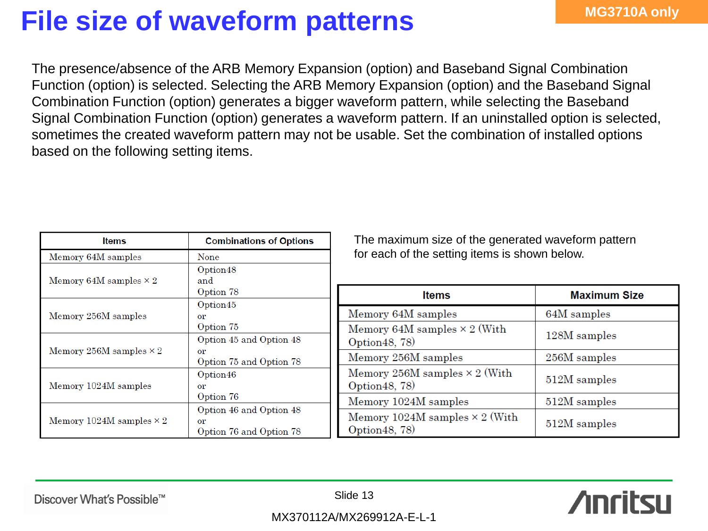## **File size of waveform patterns** MG3710A only

The presence/absence of the ARB Memory Expansion (option) and Baseband Signal Combination Function (option) is selected. Selecting the ARB Memory Expansion (option) and the Baseband Signal Combination Function (option) generates a bigger waveform pattern, while selecting the Baseband Signal Combination Function (option) generates a waveform pattern. If an uninstalled option is selected, sometimes the created waveform pattern may not be usable. Set the combination of installed options based on the following setting items.

| <b>Items</b>                    | <b>Combinations of Options</b>                                   | The maxime                                   |
|---------------------------------|------------------------------------------------------------------|----------------------------------------------|
| Memory 64M samples              | None                                                             | for each of t                                |
| Memory 64M samples $\times$ 2   | Option48<br>and<br>Option 78                                     |                                              |
| Memory 256M samples             | Option45<br>$\alpha$<br>Option 75                                | Memory 64M<br>Memory 64M                     |
| Memory 256M samples $\times$ 2  | Option 45 and Option 48<br>or<br>Option 75 and Option 78         | Option 48, 78)<br>Memory 256N                |
| Memory 1024M samples            | Option46<br>$\alpha r$<br>Option 76                              | Memory 256N<br>Option 48, 78)<br>Memory 1024 |
| Memory 1024M samples $\times$ 2 | Option 46 and Option 48<br>$\alpha r$<br>Option 76 and Option 78 | Memory 1024<br>Option 48, 78)                |

um size of the generated waveform pattern the setting items is shown below.

| <b>Items</b>                                            | <b>Maximum Size</b> |
|---------------------------------------------------------|---------------------|
| Memory 64M samples                                      | 64M samples         |
| Memory 64M samples $\times$ 2 (With<br>Option 48, 78)   | 128M samples        |
| Memory 256M samples                                     | 256M samples        |
| Memory 256M samples $\times$ 2 (With<br>Option 48, 78)  | 512M samples        |
| Memory 1024M samples                                    | 512M samples        |
| Memory 1024M samples $\times$ 2 (With<br>Option 48, 78) | 512M samples        |

Discover What's Possible™

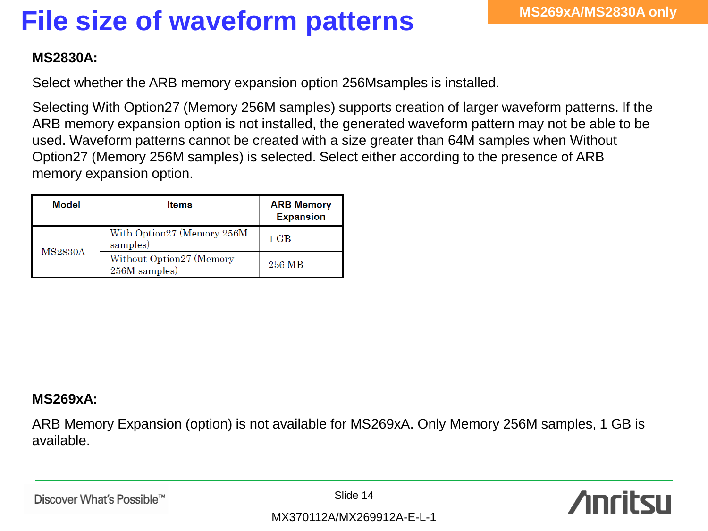# **File size of waveform patterns**

### **MS2830A:**

Select whether the ARB memory expansion option 256Msamples is installed.

Selecting With Option27 (Memory 256M samples) supports creation of larger waveform patterns. If the ARB memory expansion option is not installed, the generated waveform pattern may not be able to be used. Waveform patterns cannot be created with a size greater than 64M samples when Without Option27 (Memory 256M samples) is selected. Select either according to the presence of ARB memory expansion option.

| Model          | <b>Items</b>                              | <b>ARB Memory</b><br><b>Expansion</b> |
|----------------|-------------------------------------------|---------------------------------------|
|                | With Option27 (Memory 256M<br>samples)    | 1 GB                                  |
| <b>MS2830A</b> | Without Option27 (Memory<br>256M samples) | 256 MB                                |

### **MS269xA:**

ARB Memory Expansion (option) is not available for MS269xA. Only Memory 256M samples, 1 GB is available.